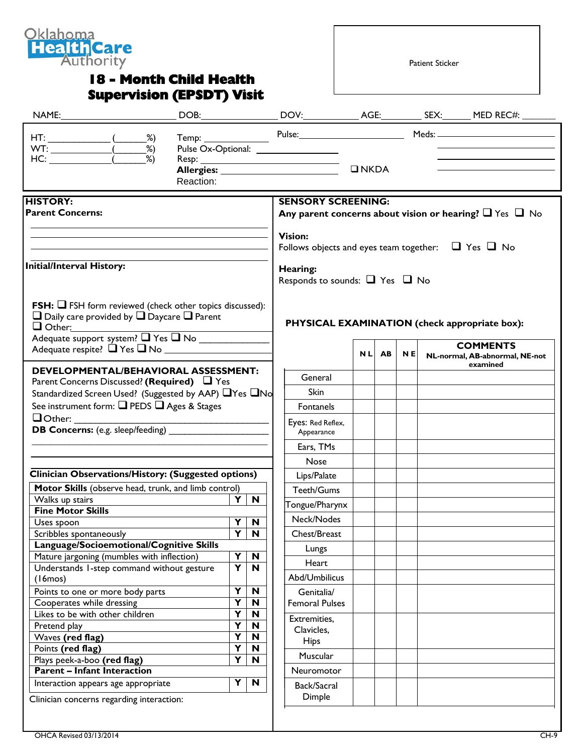

## **18 - Month Child Health Supervision (EPSDT) Visit**

Patient Sticker

|                                                                                                                                                                                            |           |                         |                                                                                                |                                                                                |            |    |           |  | Temp: Pulse: Pulse: Meds: Meds:                                            |
|--------------------------------------------------------------------------------------------------------------------------------------------------------------------------------------------|-----------|-------------------------|------------------------------------------------------------------------------------------------|--------------------------------------------------------------------------------|------------|----|-----------|--|----------------------------------------------------------------------------|
|                                                                                                                                                                                            | Reaction: |                         |                                                                                                |                                                                                |            |    |           |  | the control of the control of the control of the control of the control of |
| <b>HISTORY:</b><br><b>Parent Concerns:</b>                                                                                                                                                 |           |                         | <b>SENSORY SCREENING:</b><br>Any parent concerns about vision or hearing? $\Box$ Yes $\Box$ No |                                                                                |            |    |           |  |                                                                            |
|                                                                                                                                                                                            |           |                         |                                                                                                | <b>Vision:</b><br>Follows objects and eyes team together: $\Box$ Yes $\Box$ No |            |    |           |  |                                                                            |
| <b>Initial/Interval History:</b>                                                                                                                                                           |           |                         |                                                                                                | Hearing:<br>Responds to sounds: $\Box$ Yes $\Box$ No                           |            |    |           |  |                                                                            |
| <b>FSH:</b> $\Box$ FSH form reviewed (check other topics discussed):<br>$\Box$ Daily care provided by $\Box$ Daycare $\Box$ Parent<br>$\Box$ Other:<br>Adequate support system? T Yes T No |           |                         |                                                                                                |                                                                                |            |    |           |  | PHYSICAL EXAMINATION (check appropriate box):                              |
| Adequate respite? ■ Yes ■ No                                                                                                                                                               |           |                         |                                                                                                |                                                                                | <b>NLI</b> | AB | <b>NE</b> |  | <b>COMMENTS</b><br>NL-normal, AB-abnormal, NE-not<br>examined              |
| <b>DEVELOPMENTAL/BEHAVIORAL ASSESSMENT:</b>                                                                                                                                                |           |                         |                                                                                                | General                                                                        |            |    |           |  |                                                                            |
| Parent Concerns Discussed? (Required) $\Box$ Yes<br>Standardized Screen Used? (Suggested by AAP) □ Yes □ No                                                                                |           |                         | <b>Skin</b>                                                                                    |                                                                                |            |    |           |  |                                                                            |
| See instrument form: Q PEDS Q Ages & Stages                                                                                                                                                |           |                         |                                                                                                | Fontanels                                                                      |            |    |           |  |                                                                            |
| $\Box$ Other:                                                                                                                                                                              |           |                         |                                                                                                |                                                                                |            |    |           |  |                                                                            |
| <b>DB Concerns:</b> (e.g. sleep/feeding)                                                                                                                                                   |           |                         |                                                                                                | Eyes: Red Reflex,<br>Appearance                                                |            |    |           |  |                                                                            |
|                                                                                                                                                                                            |           |                         |                                                                                                | Ears, TMs                                                                      |            |    |           |  |                                                                            |
|                                                                                                                                                                                            |           |                         |                                                                                                | Nose                                                                           |            |    |           |  |                                                                            |
| <b>Clinician Observations/History: (Suggested options)</b>                                                                                                                                 |           |                         |                                                                                                | Lips/Palate                                                                    |            |    |           |  |                                                                            |
| Motor Skills (observe head, trunk, and limb control)                                                                                                                                       |           |                         |                                                                                                | Teeth/Gums                                                                     |            |    |           |  |                                                                            |
| Walks up stairs                                                                                                                                                                            |           | Y                       | $\mathbf N$                                                                                    |                                                                                |            |    |           |  |                                                                            |
| <b>Fine Motor Skills</b>                                                                                                                                                                   |           |                         |                                                                                                | Tongue/Pharynx                                                                 |            |    |           |  |                                                                            |
| Uses spoon                                                                                                                                                                                 |           | $\overline{Y N}$        |                                                                                                | Neck/Nodes                                                                     |            |    |           |  |                                                                            |
| Scribbles spontaneously                                                                                                                                                                    |           | $\overline{\mathbf{Y}}$ | N                                                                                              | Chest/Breast                                                                   |            |    |           |  |                                                                            |
| Language/Socioemotional/Cognitive Skills                                                                                                                                                   |           |                         |                                                                                                | Lungs                                                                          |            |    |           |  |                                                                            |
| Mature jargoning (mumbles with inflection)<br>Understands I-step command without gesture                                                                                                   |           | Y<br>Y                  | $\boldsymbol{\mathsf{N}}$<br>N                                                                 | Heart                                                                          |            |    |           |  |                                                                            |
| (16m)                                                                                                                                                                                      |           |                         |                                                                                                | Abd/Umbilicus                                                                  |            |    |           |  |                                                                            |
| Points to one or more body parts                                                                                                                                                           |           | Y                       | $\mathbf N$                                                                                    | Genitalia/                                                                     |            |    |           |  |                                                                            |
| Cooperates while dressing                                                                                                                                                                  |           | Y                       | N                                                                                              | <b>Femoral Pulses</b>                                                          |            |    |           |  |                                                                            |
| Likes to be with other children                                                                                                                                                            |           | Y                       | N                                                                                              | Extremities,                                                                   |            |    |           |  |                                                                            |
| Pretend play                                                                                                                                                                               |           | Y                       | N                                                                                              | Clavicles,                                                                     |            |    |           |  |                                                                            |
| Waves (red flag)                                                                                                                                                                           |           | Y                       | N                                                                                              | <b>Hips</b>                                                                    |            |    |           |  |                                                                            |
| Points (red flag)                                                                                                                                                                          |           | $\overline{\mathsf{Y}}$ | N                                                                                              | Muscular                                                                       |            |    |           |  |                                                                            |
| Plays peek-a-boo (red flag)                                                                                                                                                                |           | Y                       | N                                                                                              |                                                                                |            |    |           |  |                                                                            |
| <b>Parent - Infant Interaction</b>                                                                                                                                                         |           |                         |                                                                                                | Neuromotor                                                                     |            |    |           |  |                                                                            |
| Interaction appears age appropriate                                                                                                                                                        |           | Y                       | N                                                                                              | Back/Sacral                                                                    |            |    |           |  |                                                                            |